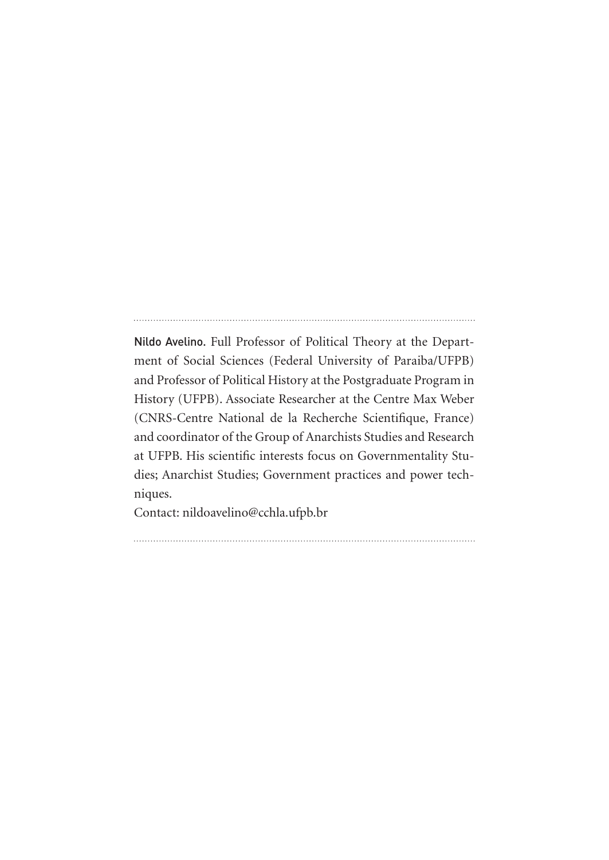Nildo Avelino. Full Professor of Political Theory at the Department of Social Sciences (Federal University of Paraiba/UFPB) and Professor of Political History at the Postgraduate Program in History (UFPB). Associate Researcher at the Centre Max Weber (CNRS-Centre National de la Recherche Scientifique, France) and coordinator of the Group of Anarchists Studies and Research at UFPB. His scientific interests focus on Governmentality Studies; Anarchist Studies; Government practices and power techniques.

Contact: nildoavelino@cchla.ufpb.br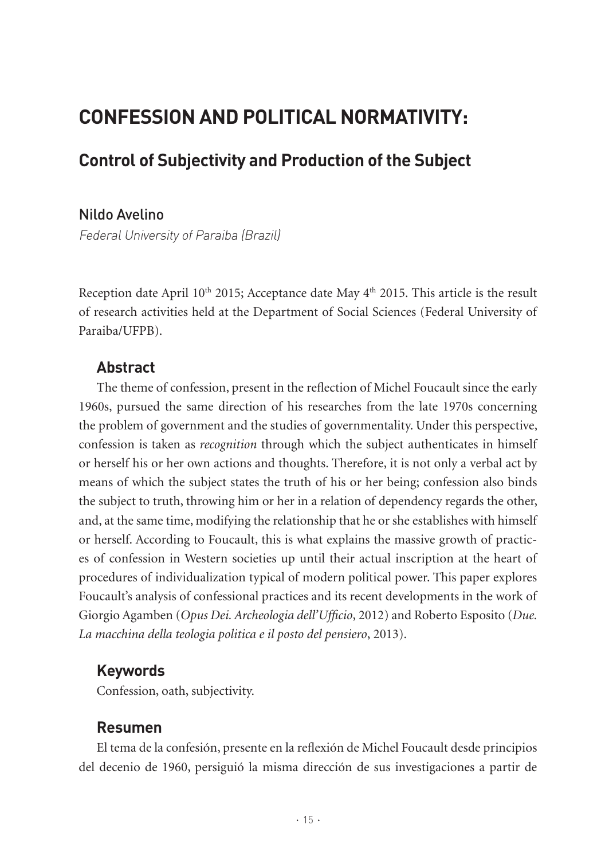# **CONFESSION AND POLITICAL NORMATIVITY:**

## **Control of Subjectivity and Production of the Subject**

#### Nildo Avelino

Federal University of Paraiba (Brazil)

Reception date April 10<sup>th</sup> 2015; Acceptance date May 4<sup>th</sup> 2015. This article is the result of research activities held at the Department of Social Sciences (Federal University of Paraiba/UFPB).

#### **Abstract**

The theme of confession, present in the reflection of Michel Foucault since the early 1960s, pursued the same direction of his researches from the late 1970s concerning the problem of government and the studies of governmentality. Under this perspective, confession is taken as *recognition* through which the subject authenticates in himself or herself his or her own actions and thoughts. Therefore, it is not only a verbal act by means of which the subject states the truth of his or her being; confession also binds the subject to truth, throwing him or her in a relation of dependency regards the other, and, at the same time, modifying the relationship that he or she establishes with himself or herself. According to Foucault, this is what explains the massive growth of practices of confession in Western societies up until their actual inscription at the heart of procedures of individualization typical of modern political power. This paper explores Foucault's analysis of confessional practices and its recent developments in the work of Giorgio Agamben (*Opus Dei. Archeologia dell'Ufficio*, 2012) and Roberto Esposito (*Due. La macchina della teologia politica e il posto del pensiero*, 2013).

#### **Keywords**

Confession, oath, subjectivity.

#### **Resumen**

El tema de la confesión, presente en la reflexión de Michel Foucault desde principios del decenio de 1960, persiguió la misma dirección de sus investigaciones a partir de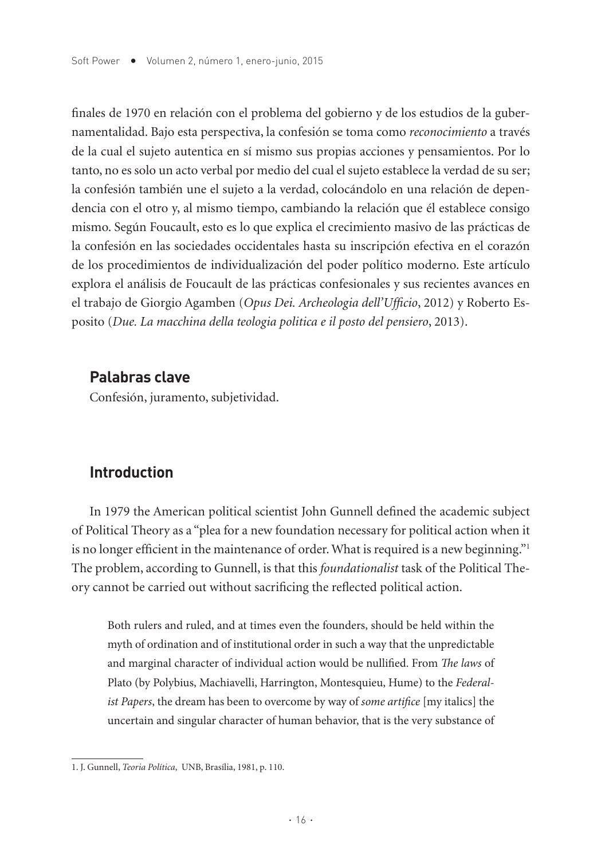finales de 1970 en relación con el problema del gobierno y de los estudios de la gubernamentalidad. Bajo esta perspectiva, la confesión se toma como *reconocimiento* a través de la cual el sujeto autentica en sí mismo sus propias acciones y pensamientos. Por lo tanto, no es solo un acto verbal por medio del cual el sujeto establece la verdad de su ser; la confesión también une el sujeto a la verdad, colocándolo en una relación de dependencia con el otro y, al mismo tiempo, cambiando la relación que él establece consigo mismo. Según Foucault, esto es lo que explica el crecimiento masivo de las prácticas de la confesión en las sociedades occidentales hasta su inscripción efectiva en el corazón de los procedimientos de individualización del poder político moderno. Este artículo explora el análisis de Foucault de las prácticas confesionales y sus recientes avances en el trabajo de Giorgio Agamben (*Opus Dei. Archeologia dell'Ufficio*, 2012) y Roberto Esposito (*Due. La macchina della teologia politica e il posto del pensiero*, 2013).

### **Palabras clave**

Confesión, juramento, subjetividad.

## **Introduction**

In 1979 the American political scientist John Gunnell defined the academic subject of Political Theory as a "plea for a new foundation necessary for political action when it is no longer efficient in the maintenance of order. What is required is a new beginning."<sup>1</sup> The problem, according to Gunnell, is that this *foundationalist* task of the Political Theory cannot be carried out without sacrificing the reflected political action.

Both rulers and ruled, and at times even the founders, should be held within the myth of ordination and of institutional order in such a way that the unpredictable and marginal character of individual action would be nullified. From *The laws* of Plato (by Polybius, Machiavelli, Harrington, Montesquieu, Hume) to the *Federalist Papers*, the dream has been to overcome by way of *some artifice* [my italics] the uncertain and singular character of human behavior, that is the very substance of

<sup>1.</sup> J. Gunnell, *Teoria Política*, UNB, Brasília, 1981, p. 110.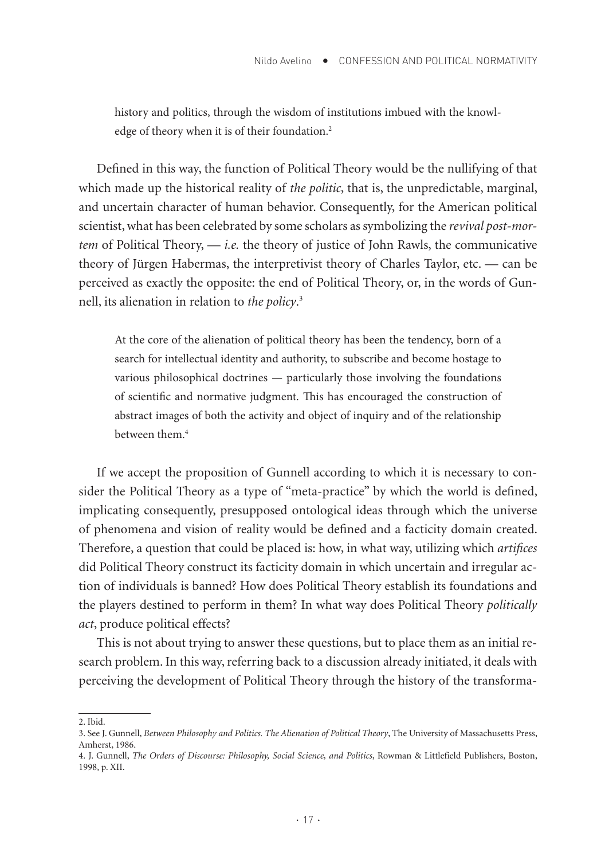history and politics, through the wisdom of institutions imbued with the knowledge of theory when it is of their foundation.<sup>2</sup>

Defined in this way, the function of Political Theory would be the nullifying of that which made up the historical reality of *the politic*, that is, the unpredictable, marginal, and uncertain character of human behavior. Consequently, for the American political scientist, what has been celebrated by some scholars as symbolizing the *revival post-mortem* of Political Theory, — *i.e.* the theory of justice of John Rawls, the communicative theory of Jürgen Habermas, the interpretivist theory of Charles Taylor, etc. — can be perceived as exactly the opposite: the end of Political Theory, or, in the words of Gunnell, its alienation in relation to *the policy*. 3

At the core of the alienation of political theory has been the tendency, born of a search for intellectual identity and authority, to subscribe and become hostage to various philosophical doctrines — particularly those involving the foundations of scientific and normative judgment. This has encouraged the construction of abstract images of both the activity and object of inquiry and of the relationship between them.4

If we accept the proposition of Gunnell according to which it is necessary to consider the Political Theory as a type of "meta-practice" by which the world is defined, implicating consequently, presupposed ontological ideas through which the universe of phenomena and vision of reality would be defined and a facticity domain created. Therefore, a question that could be placed is: how, in what way, utilizing which *artifices* did Political Theory construct its facticity domain in which uncertain and irregular action of individuals is banned? How does Political Theory establish its foundations and the players destined to perform in them? In what way does Political Theory *politically act*, produce political effects?

This is not about trying to answer these questions, but to place them as an initial research problem. In this way, referring back to a discussion already initiated, it deals with perceiving the development of Political Theory through the history of the transforma-

<sup>2.</sup> Ibid.

<sup>3.</sup> See J. Gunnell, *Between Philosophy and Politics. The Alienation of Political Theory*, The University of Massachusetts Press, Amherst, 1986.

<sup>4.</sup> J. Gunnell, *The Orders of Discourse: Philosophy, Social Science, and Politics*, Rowman & Littlefield Publishers, Boston, 1998, p. XII.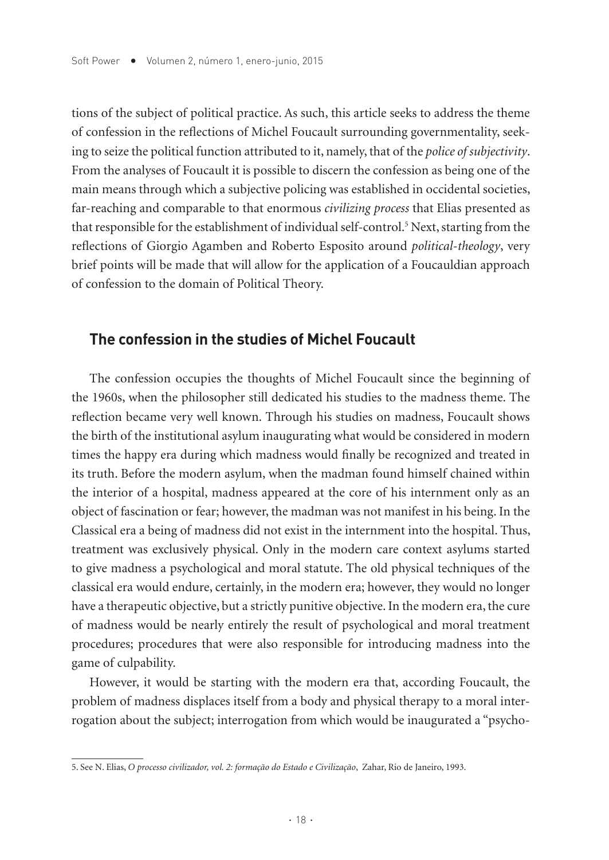tions of the subject of political practice. As such, this article seeks to address the theme of confession in the reflections of Michel Foucault surrounding governmentality, seeking to seize the political function attributed to it, namely, that of the *police of subjectivity*. From the analyses of Foucault it is possible to discern the confession as being one of the main means through which a subjective policing was established in occidental societies, far-reaching and comparable to that enormous *civilizing process* that Elias presented as that responsible for the establishment of individual self-control.5 Next, starting from the reflections of Giorgio Agamben and Roberto Esposito around *political-theology*, very brief points will be made that will allow for the application of a Foucauldian approach of confession to the domain of Political Theory.

#### **The confession in the studies of Michel Foucault**

The confession occupies the thoughts of Michel Foucault since the beginning of the 1960s, when the philosopher still dedicated his studies to the madness theme. The reflection became very well known. Through his studies on madness, Foucault shows the birth of the institutional asylum inaugurating what would be considered in modern times the happy era during which madness would finally be recognized and treated in its truth. Before the modern asylum, when the madman found himself chained within the interior of a hospital, madness appeared at the core of his internment only as an object of fascination or fear; however, the madman was not manifest in his being. In the Classical era a being of madness did not exist in the internment into the hospital. Thus, treatment was exclusively physical. Only in the modern care context asylums started to give madness a psychological and moral statute. The old physical techniques of the classical era would endure, certainly, in the modern era; however, they would no longer have a therapeutic objective, but a strictly punitive objective. In the modern era, the cure of madness would be nearly entirely the result of psychological and moral treatment procedures; procedures that were also responsible for introducing madness into the game of culpability.

However, it would be starting with the modern era that, according Foucault, the problem of madness displaces itself from a body and physical therapy to a moral interrogation about the subject; interrogation from which would be inaugurated a "psycho-

<sup>5.</sup> See N. Elias, *O processo civilizador, vol. 2: formação do Estado e Civilização*, Zahar, Rio de Janeiro, 1993.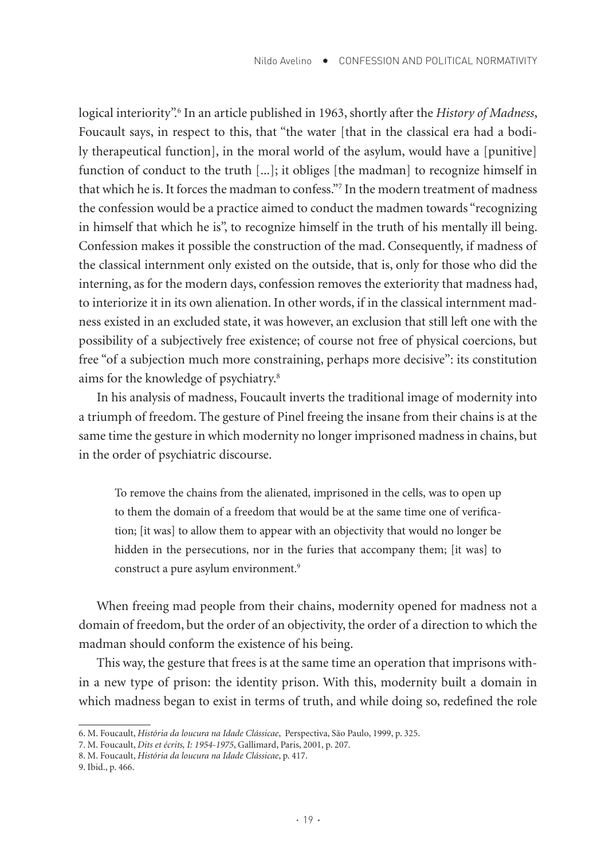logical interiority".6 In an article published in 1963, shortly after the *History of Madness*, Foucault says, in respect to this, that "the water [that in the classical era had a bodily therapeutical function], in the moral world of the asylum, would have a [punitive] function of conduct to the truth [...]; it obliges [the madman] to recognize himself in that which he is. It forces the madman to confess."7 In the modern treatment of madness the confession would be a practice aimed to conduct the madmen towards "recognizing in himself that which he is", to recognize himself in the truth of his mentally ill being. Confession makes it possible the construction of the mad. Consequently, if madness of the classical internment only existed on the outside, that is, only for those who did the interning, as for the modern days, confession removes the exteriority that madness had, to interiorize it in its own alienation. In other words, if in the classical internment madness existed in an excluded state, it was however, an exclusion that still left one with the possibility of a subjectively free existence; of course not free of physical coercions, but free "of a subjection much more constraining, perhaps more decisive": its constitution aims for the knowledge of psychiatry.8

In his analysis of madness, Foucault inverts the traditional image of modernity into a triumph of freedom. The gesture of Pinel freeing the insane from their chains is at the same time the gesture in which modernity no longer imprisoned madness in chains, but in the order of psychiatric discourse.

To remove the chains from the alienated, imprisoned in the cells, was to open up to them the domain of a freedom that would be at the same time one of verification; [it was] to allow them to appear with an objectivity that would no longer be hidden in the persecutions, nor in the furies that accompany them; [it was] to construct a pure asylum environment.<sup>9</sup>

When freeing mad people from their chains, modernity opened for madness not a domain of freedom, but the order of an objectivity, the order of a direction to which the madman should conform the existence of his being.

This way, the gesture that frees is at the same time an operation that imprisons within a new type of prison: the identity prison. With this, modernity built a domain in which madness began to exist in terms of truth, and while doing so, redefined the role

<sup>6.</sup> M. Foucault, *História da loucura na Idade Clássicae*, Perspectiva, São Paulo, 1999, p. 325.

<sup>7.</sup> M. Foucault, *Dits et écrits, I: 1954-1975*, Gallimard, Paris, 2001, p. 207.

<sup>8.</sup> M. Foucault, *História da loucura na Idade Clássicae*, p. 417.

<sup>9.</sup> Ibid., p. 466.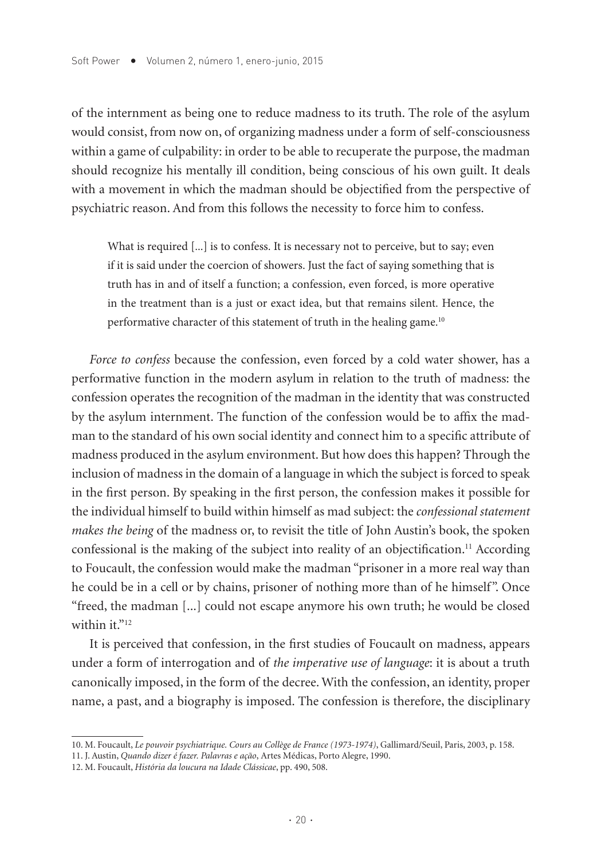of the internment as being one to reduce madness to its truth. The role of the asylum would consist, from now on, of organizing madness under a form of self-consciousness within a game of culpability: in order to be able to recuperate the purpose, the madman should recognize his mentally ill condition, being conscious of his own guilt. It deals with a movement in which the madman should be objectified from the perspective of psychiatric reason. And from this follows the necessity to force him to confess.

What is required [...] is to confess. It is necessary not to perceive, but to say; even if it is said under the coercion of showers. Just the fact of saying something that is truth has in and of itself a function; a confession, even forced, is more operative in the treatment than is a just or exact idea, but that remains silent. Hence, the performative character of this statement of truth in the healing game.10

*Force to confess* because the confession, even forced by a cold water shower, has a performative function in the modern asylum in relation to the truth of madness: the confession operates the recognition of the madman in the identity that was constructed by the asylum internment. The function of the confession would be to affix the madman to the standard of his own social identity and connect him to a specific attribute of madness produced in the asylum environment. But how does this happen? Through the inclusion of madness in the domain of a language in which the subject is forced to speak in the first person. By speaking in the first person, the confession makes it possible for the individual himself to build within himself as mad subject: the *confessional statement makes the being* of the madness or, to revisit the title of John Austin's book, the spoken confessional is the making of the subject into reality of an objectification.11 According to Foucault, the confession would make the madman "prisoner in a more real way than he could be in a cell or by chains, prisoner of nothing more than of he himself". Once "freed, the madman [...] could not escape anymore his own truth; he would be closed within it."<sup>12</sup>

It is perceived that confession, in the first studies of Foucault on madness, appears under a form of interrogation and of *the imperative use of language*: it is about a truth canonically imposed, in the form of the decree. With the confession, an identity, proper name, a past, and a biography is imposed. The confession is therefore, the disciplinary

<sup>10.</sup> M. Foucault, *Le pouvoir psychiatrique. Cours au Collège de France (1973-1974)*, Gallimard/Seuil, Paris, 2003, p. 158.

<sup>11.</sup> J. Austin, *Quando dizer é fazer. Palavras e ação*, Artes Médicas, Porto Alegre, 1990.

<sup>12.</sup> M. Foucault, *História da loucura na Idade Clássicae*, pp. 490, 508.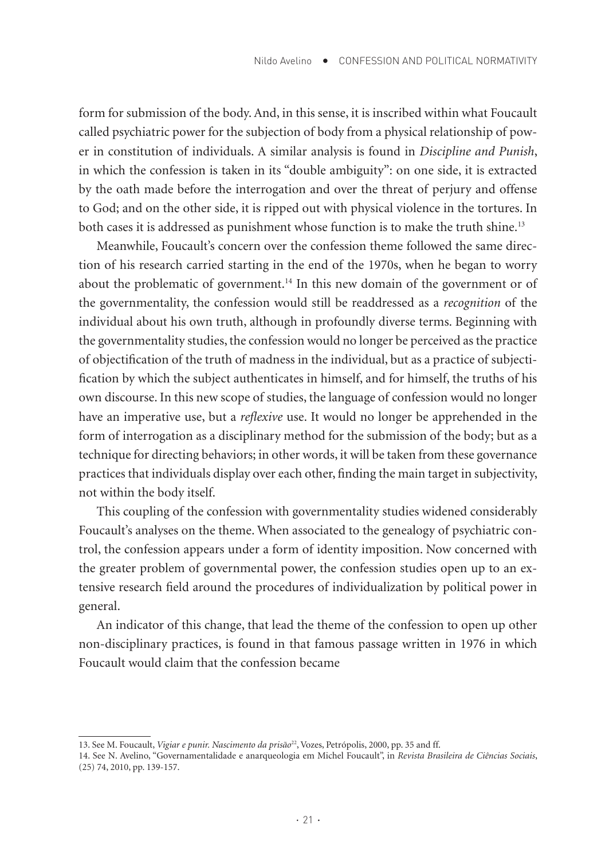form for submission of the body. And, in this sense, it is inscribed within what Foucault called psychiatric power for the subjection of body from a physical relationship of power in constitution of individuals. A similar analysis is found in *Discipline and Punish*, in which the confession is taken in its "double ambiguity": on one side, it is extracted by the oath made before the interrogation and over the threat of perjury and offense to God; and on the other side, it is ripped out with physical violence in the tortures. In both cases it is addressed as punishment whose function is to make the truth shine.13

Meanwhile, Foucault's concern over the confession theme followed the same direction of his research carried starting in the end of the 1970s, when he began to worry about the problematic of government.<sup>14</sup> In this new domain of the government or of the governmentality, the confession would still be readdressed as a *recognition* of the individual about his own truth, although in profoundly diverse terms. Beginning with the governmentality studies, the confession would no longer be perceived as the practice of objectification of the truth of madness in the individual, but as a practice of subjectification by which the subject authenticates in himself, and for himself, the truths of his own discourse. In this new scope of studies, the language of confession would no longer have an imperative use, but a *reflexive* use. It would no longer be apprehended in the form of interrogation as a disciplinary method for the submission of the body; but as a technique for directing behaviors; in other words, it will be taken from these governance practices that individuals display over each other, finding the main target in subjectivity, not within the body itself.

This coupling of the confession with governmentality studies widened considerably Foucault's analyses on the theme. When associated to the genealogy of psychiatric control, the confession appears under a form of identity imposition. Now concerned with the greater problem of governmental power, the confession studies open up to an extensive research field around the procedures of individualization by political power in general.

An indicator of this change, that lead the theme of the confession to open up other non-disciplinary practices, is found in that famous passage written in 1976 in which Foucault would claim that the confession became

<sup>13.</sup> See M. Foucault, *Vigiar e punir. Nascimento da prisão<sup>22</sup>*, Vozes, Petrópolis, 2000, pp. 35 and ff.

<sup>14.</sup> See N. Avelino, "Governamentalidade e anarqueologia em Michel Foucault", in *Revista Brasileira de Ciências Sociais*, (25) 74, 2010, pp. 139-157.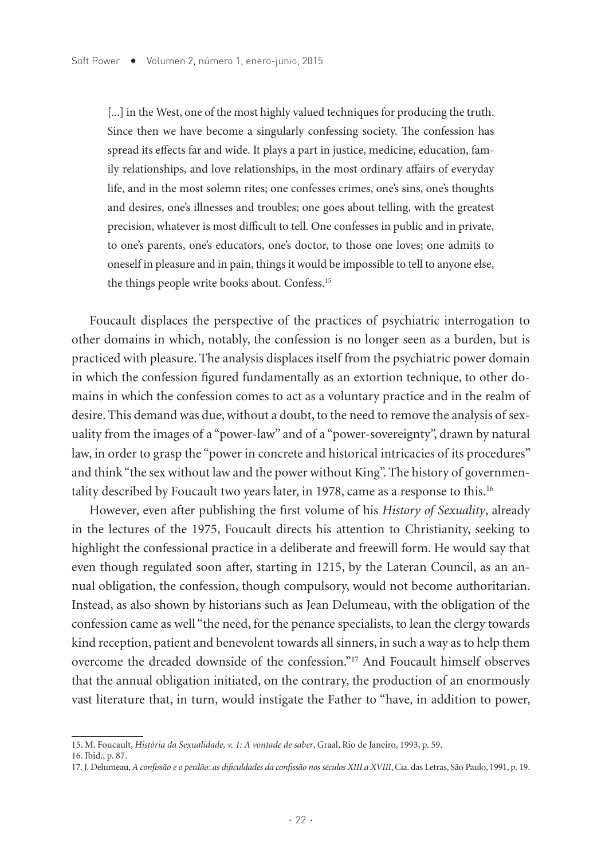[...] in the West, one of the most highly valued techniques for producing the truth. Since then we have become a singularly confessing society. The confession has spread its effects far and wide. It plays a part in justice, medicine, education, family relationships, and love relationships, in the most ordinary affairs of everyday life, and in the most solemn rites; one confesses crimes, one's sins, one's thoughts and desires, one's illnesses and troubles; one goes about telling, with the greatest precision, whatever is most difficult to tell. One confesses in public and in private, to one's parents, one's educators, one's doctor, to those one loves; one admits to oneself in pleasure and in pain, things it would be impossible to tell to anyone else, the things people write books about. Confess.15

Foucault displaces the perspective of the practices of psychiatric interrogation to other domains in which, notably, the confession is no longer seen as a burden, but is practiced with pleasure. The analysis displaces itself from the psychiatric power domain in which the confession figured fundamentally as an extortion technique, to other domains in which the confession comes to act as a voluntary practice and in the realm of desire. This demand was due, without a doubt, to the need to remove the analysis of sexuality from the images of a "power-law" and of a "power-sovereignty", drawn by natural law, in order to grasp the "power in concrete and historical intricacies of its procedures" and think "the sex without law and the power without King". The history of governmentality described by Foucault two years later, in 1978, came as a response to this.<sup>16</sup>

However, even after publishing the first volume of his *History of Sexuality*, already in the lectures of the 1975, Foucault directs his attention to Christianity, seeking to highlight the confessional practice in a deliberate and freewill form. He would say that even though regulated soon after, starting in 1215, by the Lateran Council, as an annual obligation, the confession, though compulsory, would not become authoritarian. Instead, as also shown by historians such as Jean Delumeau, with the obligation of the confession came as well "the need, for the penance specialists, to lean the clergy towards kind reception, patient and benevolent towards all sinners, in such a way as to help them overcome the dreaded downside of the confession."17 And Foucault himself observes that the annual obligation initiated, on the contrary, the production of an enormously vast literature that, in turn, would instigate the Father to "have, in addition to power,

<sup>15.</sup> M. Foucault, *História da Sexualidade, v. 1: A vontade de saber*, Graal, Rio de Janeiro, 1993, p. 59.

<sup>16.</sup> Ibid., p. 87.

<sup>17.</sup> J. Delumeau, *A confissão e o perdão: as dificuldades da confissão nos séculos XIII a XVIII*, Cia. das Letras, São Paulo, 1991, p. 19.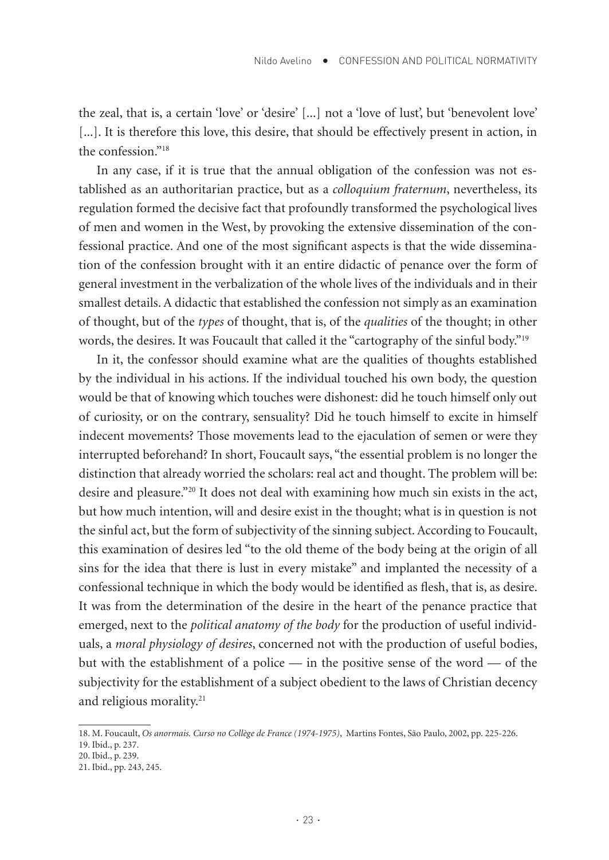the zeal, that is, a certain 'love' or 'desire' [...] not a 'love of lust', but 'benevolent love' [...]. It is therefore this love, this desire, that should be effectively present in action, in the confession."18

In any case, if it is true that the annual obligation of the confession was not established as an authoritarian practice, but as a *colloquium fraternum*, nevertheless, its regulation formed the decisive fact that profoundly transformed the psychological lives of men and women in the West, by provoking the extensive dissemination of the confessional practice. And one of the most significant aspects is that the wide dissemination of the confession brought with it an entire didactic of penance over the form of general investment in the verbalization of the whole lives of the individuals and in their smallest details. A didactic that established the confession not simply as an examination of thought, but of the *types* of thought, that is, of the *qualities* of the thought; in other words, the desires. It was Foucault that called it the "cartography of the sinful body."19

In it, the confessor should examine what are the qualities of thoughts established by the individual in his actions. If the individual touched his own body, the question would be that of knowing which touches were dishonest: did he touch himself only out of curiosity, or on the contrary, sensuality? Did he touch himself to excite in himself indecent movements? Those movements lead to the ejaculation of semen or were they interrupted beforehand? In short, Foucault says, "the essential problem is no longer the distinction that already worried the scholars: real act and thought. The problem will be: desire and pleasure."20 It does not deal with examining how much sin exists in the act, but how much intention, will and desire exist in the thought; what is in question is not the sinful act, but the form of subjectivity of the sinning subject. According to Foucault, this examination of desires led "to the old theme of the body being at the origin of all sins for the idea that there is lust in every mistake" and implanted the necessity of a confessional technique in which the body would be identified as flesh, that is, as desire. It was from the determination of the desire in the heart of the penance practice that emerged, next to the *political anatomy of the body* for the production of useful individuals, a *moral physiology of desires*, concerned not with the production of useful bodies, but with the establishment of a police — in the positive sense of the word — of the subjectivity for the establishment of a subject obedient to the laws of Christian decency and religious morality.<sup>21</sup>

<sup>18.</sup> M. Foucault, *Os anormais. Curso no Collège de France (1974-1975)*, Martins Fontes, São Paulo, 2002, pp. 225-226. 19. Ibid., p. 237.

<sup>20.</sup> Ibid., p. 239.

<sup>21.</sup> Ibid., pp. 243, 245.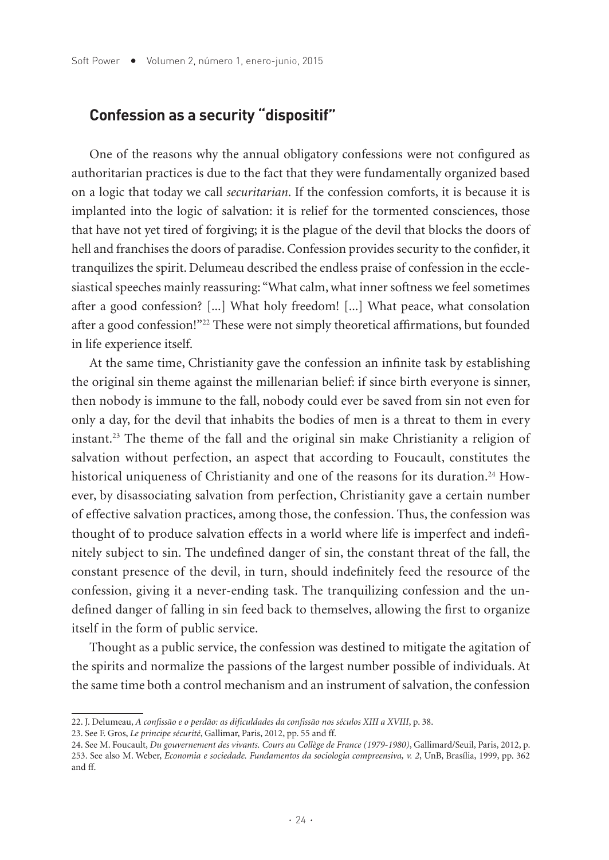## **Confession as a security "dispositif"**

One of the reasons why the annual obligatory confessions were not configured as authoritarian practices is due to the fact that they were fundamentally organized based on a logic that today we call *securitarian*. If the confession comforts, it is because it is implanted into the logic of salvation: it is relief for the tormented consciences, those that have not yet tired of forgiving; it is the plague of the devil that blocks the doors of hell and franchises the doors of paradise. Confession provides security to the confider, it tranquilizes the spirit. Delumeau described the endless praise of confession in the ecclesiastical speeches mainly reassuring: "What calm, what inner softness we feel sometimes after a good confession? [...] What holy freedom! [...] What peace, what consolation after a good confession!"<sup>22</sup> These were not simply theoretical affirmations, but founded in life experience itself.

At the same time, Christianity gave the confession an infinite task by establishing the original sin theme against the millenarian belief: if since birth everyone is sinner, then nobody is immune to the fall, nobody could ever be saved from sin not even for only a day, for the devil that inhabits the bodies of men is a threat to them in every instant.23 The theme of the fall and the original sin make Christianity a religion of salvation without perfection, an aspect that according to Foucault, constitutes the historical uniqueness of Christianity and one of the reasons for its duration.<sup>24</sup> However, by disassociating salvation from perfection, Christianity gave a certain number of effective salvation practices, among those, the confession. Thus, the confession was thought of to produce salvation effects in a world where life is imperfect and indefinitely subject to sin. The undefined danger of sin, the constant threat of the fall, the constant presence of the devil, in turn, should indefinitely feed the resource of the confession, giving it a never-ending task. The tranquilizing confession and the undefined danger of falling in sin feed back to themselves, allowing the first to organize itself in the form of public service.

Thought as a public service, the confession was destined to mitigate the agitation of the spirits and normalize the passions of the largest number possible of individuals. At the same time both a control mechanism and an instrument of salvation, the confession

<sup>22.</sup> J. Delumeau, *A confissão e o perdão: as dificuldades da confissão nos séculos XIII a XVIII*, p. 38.

<sup>23.</sup> See F. Gros, *Le principe sécurité*, Gallimar, Paris, 2012, pp. 55 and ff.

<sup>24.</sup> See M. Foucault, *Du gouvernement des vivants. Cours au Collège de France (1979-1980)*, Gallimard/Seuil, Paris, 2012, p. 253. See also M. Weber, *Economia e sociedade. Fundamentos da sociologia compreensiva, v. 2*, UnB, Brasília, 1999, pp. 362 and ff.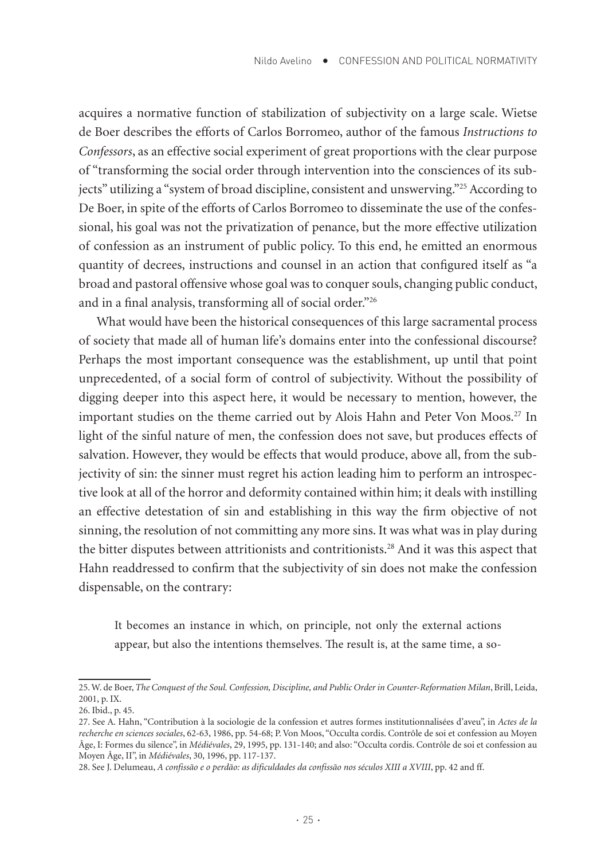acquires a normative function of stabilization of subjectivity on a large scale. Wietse de Boer describes the efforts of Carlos Borromeo, author of the famous *Instructions to Confessors*, as an effective social experiment of great proportions with the clear purpose of "transforming the social order through intervention into the consciences of its subjects" utilizing a "system of broad discipline, consistent and unswerving."25 According to De Boer, in spite of the efforts of Carlos Borromeo to disseminate the use of the confessional, his goal was not the privatization of penance, but the more effective utilization of confession as an instrument of public policy. To this end, he emitted an enormous quantity of decrees, instructions and counsel in an action that configured itself as "a broad and pastoral offensive whose goal was to conquer souls, changing public conduct, and in a final analysis, transforming all of social order."26

What would have been the historical consequences of this large sacramental process of society that made all of human life's domains enter into the confessional discourse? Perhaps the most important consequence was the establishment, up until that point unprecedented, of a social form of control of subjectivity. Without the possibility of digging deeper into this aspect here, it would be necessary to mention, however, the important studies on the theme carried out by Alois Hahn and Peter Von Moos.<sup>27</sup> In light of the sinful nature of men, the confession does not save, but produces effects of salvation. However, they would be effects that would produce, above all, from the subjectivity of sin: the sinner must regret his action leading him to perform an introspective look at all of the horror and deformity contained within him; it deals with instilling an effective detestation of sin and establishing in this way the firm objective of not sinning, the resolution of not committing any more sins. It was what was in play during the bitter disputes between attritionists and contritionists.28 And it was this aspect that Hahn readdressed to confirm that the subjectivity of sin does not make the confession dispensable, on the contrary:

It becomes an instance in which, on principle, not only the external actions appear, but also the intentions themselves. The result is, at the same time, a so-

<sup>25.</sup> W. de Boer, *The Conquest of the Soul. Confession, Discipline, and Public Order in Counter-Reformation Milan*, Brill, Leida, 2001, p. IX.

<sup>26.</sup> Ibid., p. 45.

<sup>27.</sup> See A. Hahn, "Contribution à la sociologie de la confession et autres formes institutionnalisées d'aveu", in *Actes de la recherche en sciences sociales*, 62-63, 1986, pp. 54-68; P. Von Moos, "Occulta cordis. Contrôle de soi et confession au Moyen Âge, I: Formes du silence", in *Médiévales*, 29, 1995, pp. 131-140; and also: "Occulta cordis. Contrôle de soi et confession au Moyen Âge, II", in *Médiévales*, 30, 1996, pp. 117-137.

<sup>28.</sup> See J. Delumeau, *A confissão e o perdão: as dificuldades da confissão nos séculos XIII a XVIII*, pp. 42 and ff.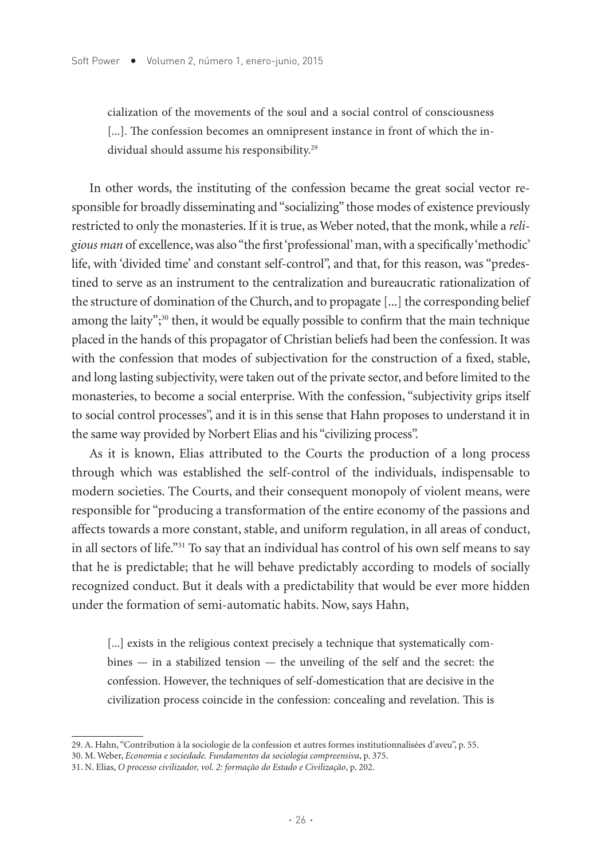cialization of the movements of the soul and a social control of consciousness [...]. The confession becomes an omnipresent instance in front of which the individual should assume his responsibility.29

In other words, the instituting of the confession became the great social vector responsible for broadly disseminating and "socializing" those modes of existence previously restricted to only the monasteries. If it is true, as Weber noted, that the monk, while a *religious man* of excellence, was also "the first 'professional' man, with a specifically 'methodic' life, with 'divided time' and constant self-control", and that, for this reason, was "predestined to serve as an instrument to the centralization and bureaucratic rationalization of the structure of domination of the Church, and to propagate [...] the corresponding belief among the laity";<sup>30</sup> then, it would be equally possible to confirm that the main technique placed in the hands of this propagator of Christian beliefs had been the confession. It was with the confession that modes of subjectivation for the construction of a fixed, stable, and long lasting subjectivity, were taken out of the private sector, and before limited to the monasteries, to become a social enterprise. With the confession, "subjectivity grips itself to social control processes", and it is in this sense that Hahn proposes to understand it in the same way provided by Norbert Elias and his "civilizing process".

As it is known, Elias attributed to the Courts the production of a long process through which was established the self-control of the individuals, indispensable to modern societies. The Courts, and their consequent monopoly of violent means, were responsible for "producing a transformation of the entire economy of the passions and affects towards a more constant, stable, and uniform regulation, in all areas of conduct, in all sectors of life."31 To say that an individual has control of his own self means to say that he is predictable; that he will behave predictably according to models of socially recognized conduct. But it deals with a predictability that would be ever more hidden under the formation of semi-automatic habits. Now, says Hahn,

[...] exists in the religious context precisely a technique that systematically combines — in a stabilized tension — the unveiling of the self and the secret: the confession. However, the techniques of self-domestication that are decisive in the civilization process coincide in the confession: concealing and revelation. This is

<sup>29.</sup> A. Hahn, "Contribution à la sociologie de la confession et autres formes institutionnalisées d'aveu", p. 55.

<sup>30.</sup> M. Weber, *Economia e sociedade. Fundamentos da sociologia compreensiva*, p. 375.

<sup>31.</sup> N. Elias, *O processo civilizador, vol. 2: formação do Estado e Civilização*, p. 202.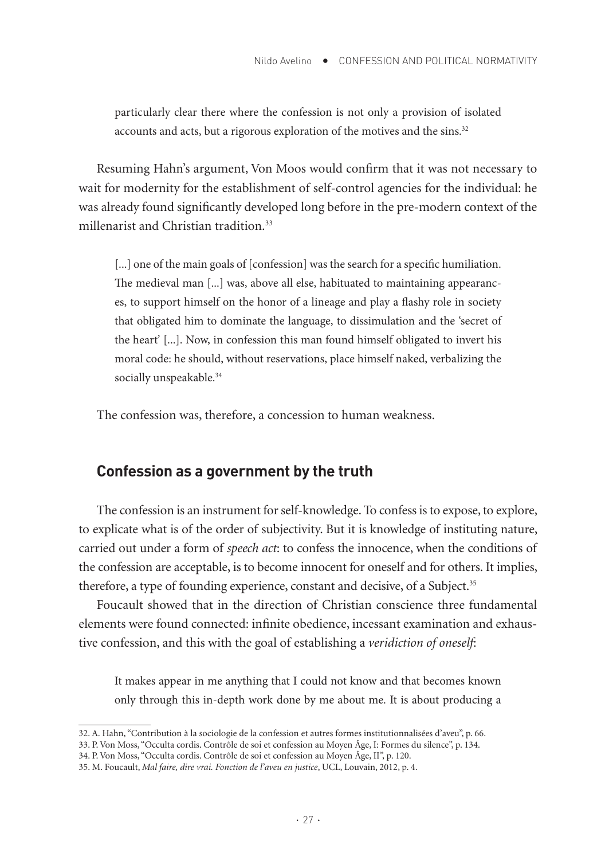particularly clear there where the confession is not only a provision of isolated accounts and acts, but a rigorous exploration of the motives and the sins.<sup>32</sup>

Resuming Hahn's argument, Von Moos would confirm that it was not necessary to wait for modernity for the establishment of self-control agencies for the individual: he was already found significantly developed long before in the pre-modern context of the millenarist and Christian tradition.33

[...] one of the main goals of [confession] was the search for a specific humiliation. The medieval man [...] was, above all else, habituated to maintaining appearances, to support himself on the honor of a lineage and play a flashy role in society that obligated him to dominate the language, to dissimulation and the 'secret of the heart' [...]. Now, in confession this man found himself obligated to invert his moral code: he should, without reservations, place himself naked, verbalizing the socially unspeakable.<sup>34</sup>

The confession was, therefore, a concession to human weakness.

#### **Confession as a government by the truth**

The confession is an instrument for self-knowledge. To confess is to expose, to explore, to explicate what is of the order of subjectivity. But it is knowledge of instituting nature, carried out under a form of *speech act*: to confess the innocence, when the conditions of the confession are acceptable, is to become innocent for oneself and for others. It implies, therefore, a type of founding experience, constant and decisive, of a Subject.<sup>35</sup>

Foucault showed that in the direction of Christian conscience three fundamental elements were found connected: infinite obedience, incessant examination and exhaustive confession, and this with the goal of establishing a *veridiction of oneself*:

It makes appear in me anything that I could not know and that becomes known only through this in-depth work done by me about me. It is about producing a

<sup>32.</sup> A. Hahn, "Contribution à la sociologie de la confession et autres formes institutionnalisées d'aveu", p. 66.

<sup>33.</sup> P. Von Moss, "Occulta cordis. Contrôle de soi et confession au Moyen Âge, I: Formes du silence", p. 134.

<sup>34.</sup> P. Von Moss, "Occulta cordis. Contrôle de soi et confession au Moyen Âge, II", p. 120.

<sup>35.</sup> M. Foucault, *Mal faire, dire vrai. Fonction de l'aveu en justice*, UCL, Louvain, 2012, p. 4.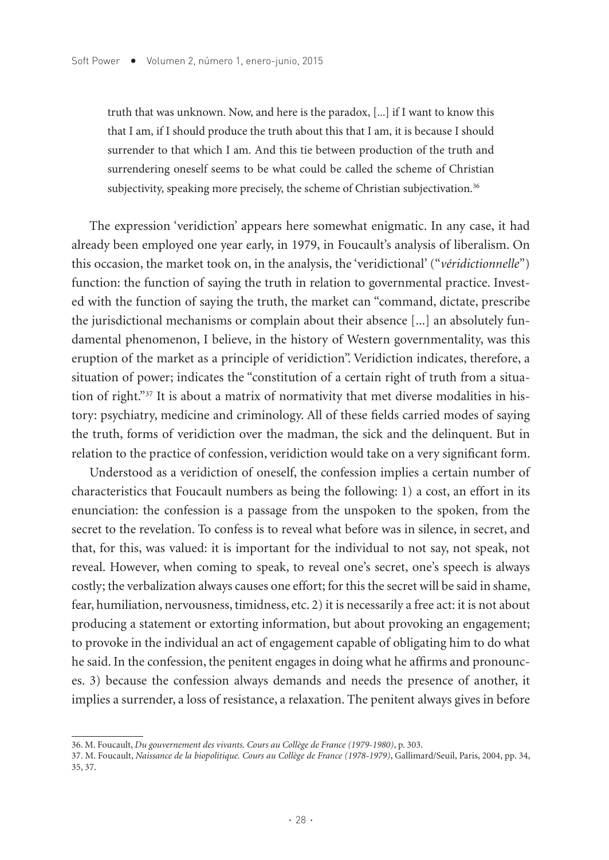truth that was unknown. Now, and here is the paradox, [...] if I want to know this that I am, if I should produce the truth about this that I am, it is because I should surrender to that which I am. And this tie between production of the truth and surrendering oneself seems to be what could be called the scheme of Christian subjectivity, speaking more precisely, the scheme of Christian subjectivation.<sup>36</sup>

The expression 'veridiction' appears here somewhat enigmatic. In any case, it had already been employed one year early, in 1979, in Foucault's analysis of liberalism. On this occasion, the market took on, in the analysis, the 'veridictional' ("*véridictionnelle*") function: the function of saying the truth in relation to governmental practice. Invested with the function of saying the truth, the market can "command, dictate, prescribe the jurisdictional mechanisms or complain about their absence [...] an absolutely fundamental phenomenon, I believe, in the history of Western governmentality, was this eruption of the market as a principle of veridiction". Veridiction indicates, therefore, a situation of power; indicates the "constitution of a certain right of truth from a situation of right."37 It is about a matrix of normativity that met diverse modalities in history: psychiatry, medicine and criminology. All of these fields carried modes of saying the truth, forms of veridiction over the madman, the sick and the delinquent. But in relation to the practice of confession, veridiction would take on a very significant form.

Understood as a veridiction of oneself, the confession implies a certain number of characteristics that Foucault numbers as being the following: 1) a cost, an effort in its enunciation: the confession is a passage from the unspoken to the spoken, from the secret to the revelation. To confess is to reveal what before was in silence, in secret, and that, for this, was valued: it is important for the individual to not say, not speak, not reveal. However, when coming to speak, to reveal one's secret, one's speech is always costly; the verbalization always causes one effort; for this the secret will be said in shame, fear, humiliation, nervousness, timidness, etc. 2) it is necessarily a free act: it is not about producing a statement or extorting information, but about provoking an engagement; to provoke in the individual an act of engagement capable of obligating him to do what he said. In the confession, the penitent engages in doing what he affirms and pronounces. 3) because the confession always demands and needs the presence of another, it implies a surrender, a loss of resistance, a relaxation. The penitent always gives in before

<sup>36.</sup> M. Foucault, *Du gouvernement des vivants. Cours au Collège de France (1979-1980)*, p. 303.

<sup>37.</sup> M. Foucault, *Naissance de la biopolitique. Cours au Collège de France (1978-1979)*, Gallimard/Seuil, Paris, 2004, pp. 34, 35, 37.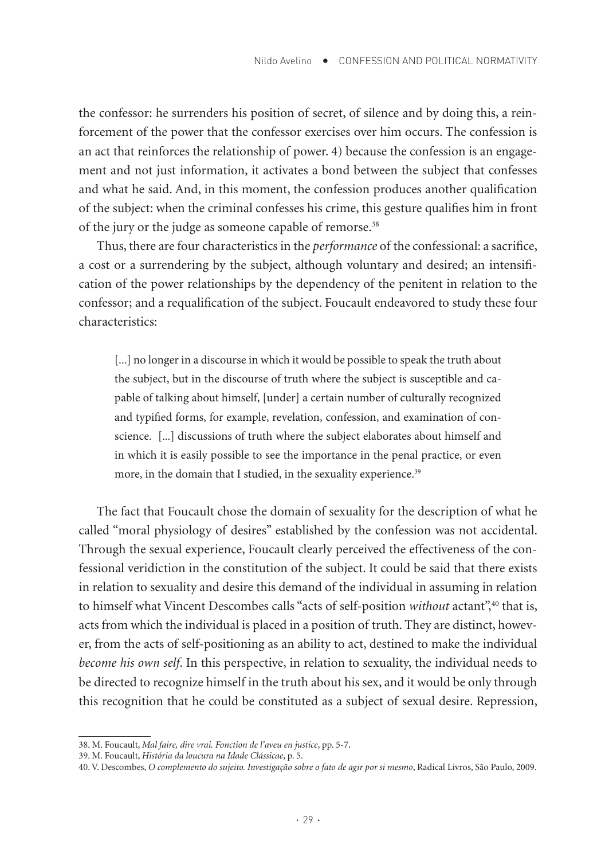the confessor: he surrenders his position of secret, of silence and by doing this, a reinforcement of the power that the confessor exercises over him occurs. The confession is an act that reinforces the relationship of power. 4) because the confession is an engagement and not just information, it activates a bond between the subject that confesses and what he said. And, in this moment, the confession produces another qualification of the subject: when the criminal confesses his crime, this gesture qualifies him in front of the jury or the judge as someone capable of remorse.<sup>38</sup>

Thus, there are four characteristics in the *performance* of the confessional: a sacrifice, a cost or a surrendering by the subject, although voluntary and desired; an intensification of the power relationships by the dependency of the penitent in relation to the confessor; and a requalification of the subject. Foucault endeavored to study these four characteristics:

[...] no longer in a discourse in which it would be possible to speak the truth about the subject, but in the discourse of truth where the subject is susceptible and capable of talking about himself, [under] a certain number of culturally recognized and typified forms, for example, revelation, confession, and examination of conscience. [...] discussions of truth where the subject elaborates about himself and in which it is easily possible to see the importance in the penal practice, or even more, in the domain that I studied, in the sexuality experience.<sup>39</sup>

The fact that Foucault chose the domain of sexuality for the description of what he called "moral physiology of desires" established by the confession was not accidental. Through the sexual experience, Foucault clearly perceived the effectiveness of the confessional veridiction in the constitution of the subject. It could be said that there exists in relation to sexuality and desire this demand of the individual in assuming in relation to himself what Vincent Descombes calls "acts of self-position *without* actant",<sup>40</sup> that is, acts from which the individual is placed in a position of truth. They are distinct, however, from the acts of self-positioning as an ability to act, destined to make the individual *become his own self*. In this perspective, in relation to sexuality, the individual needs to be directed to recognize himself in the truth about his sex, and it would be only through this recognition that he could be constituted as a subject of sexual desire. Repression,

<sup>38.</sup> M. Foucault, *Mal faire, dire vrai. Fonction de l'aveu en justice*, pp. 5-7.

<sup>39.</sup> M. Foucault, *História da loucura na Idade Clássicae*, p. 5.

<sup>40.</sup> V. Descombes, *O complemento do sujeito. Investigação sobre o fato de agir por si mesmo*, Radical Livros, São Paulo, 2009.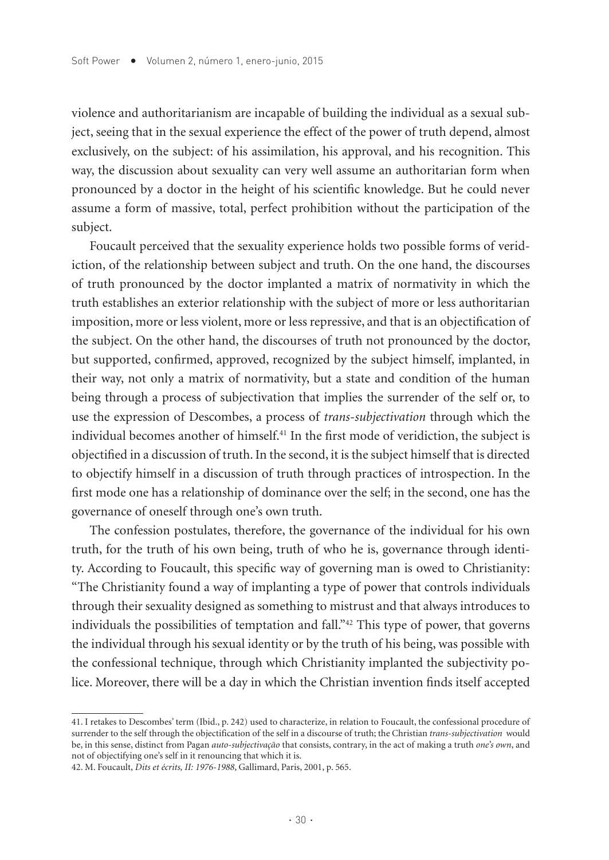violence and authoritarianism are incapable of building the individual as a sexual subject, seeing that in the sexual experience the effect of the power of truth depend, almost exclusively, on the subject: of his assimilation, his approval, and his recognition. This way, the discussion about sexuality can very well assume an authoritarian form when pronounced by a doctor in the height of his scientific knowledge. But he could never assume a form of massive, total, perfect prohibition without the participation of the subject.

Foucault perceived that the sexuality experience holds two possible forms of veridiction, of the relationship between subject and truth. On the one hand, the discourses of truth pronounced by the doctor implanted a matrix of normativity in which the truth establishes an exterior relationship with the subject of more or less authoritarian imposition, more or less violent, more or less repressive, and that is an objectification of the subject. On the other hand, the discourses of truth not pronounced by the doctor, but supported, confirmed, approved, recognized by the subject himself, implanted, in their way, not only a matrix of normativity, but a state and condition of the human being through a process of subjectivation that implies the surrender of the self or, to use the expression of Descombes, a process of *trans-subjectivation* through which the individual becomes another of himself.41 In the first mode of veridiction, the subject is objectified in a discussion of truth. In the second, it is the subject himself that is directed to objectify himself in a discussion of truth through practices of introspection. In the first mode one has a relationship of dominance over the self; in the second, one has the governance of oneself through one's own truth.

The confession postulates, therefore, the governance of the individual for his own truth, for the truth of his own being, truth of who he is, governance through identity. According to Foucault, this specific way of governing man is owed to Christianity: "The Christianity found a way of implanting a type of power that controls individuals through their sexuality designed as something to mistrust and that always introduces to individuals the possibilities of temptation and fall."42 This type of power, that governs the individual through his sexual identity or by the truth of his being, was possible with the confessional technique, through which Christianity implanted the subjectivity police. Moreover, there will be a day in which the Christian invention finds itself accepted

<sup>41.</sup> I retakes to Descombes' term (Ibid., p. 242) used to characterize, in relation to Foucault, the confessional procedure of surrender to the self through the objectification of the self in a discourse of truth; the Christian *trans-subjectivation* would be, in this sense, distinct from Pagan *auto-subjectivação* that consists, contrary, in the act of making a truth *one's own*, and not of objectifying one's self in it renouncing that which it is.

<sup>42.</sup> M. Foucault, *Dits et écrits, II: 1976-1988*, Gallimard, Paris, 2001, p. 565.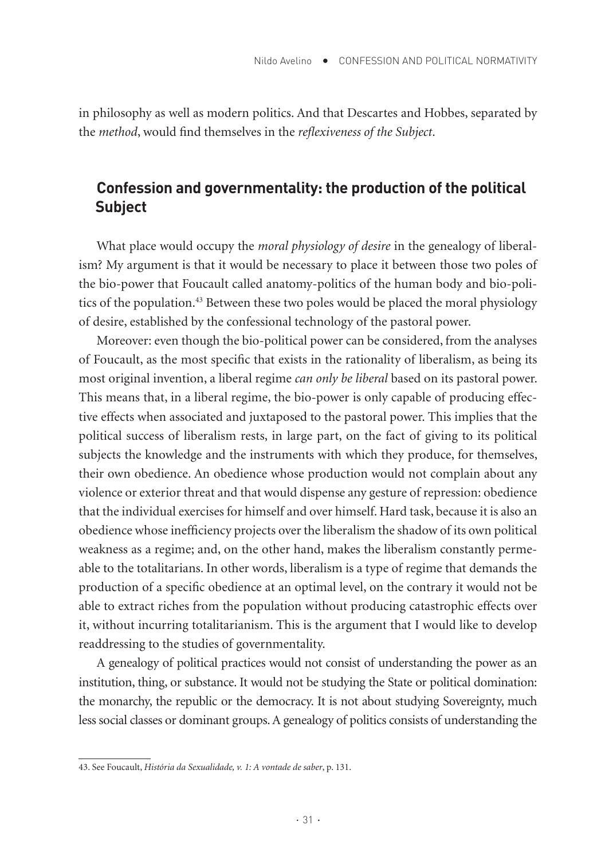in philosophy as well as modern politics. And that Descartes and Hobbes, separated by the *method*, would find themselves in the *reflexiveness of the Subject*.

## **Confession and governmentality: the production of the political Subject**

What place would occupy the *moral physiology of desire* in the genealogy of liberalism? My argument is that it would be necessary to place it between those two poles of the bio-power that Foucault called anatomy-politics of the human body and bio-politics of the population.<sup>43</sup> Between these two poles would be placed the moral physiology of desire, established by the confessional technology of the pastoral power.

Moreover: even though the bio-political power can be considered, from the analyses of Foucault, as the most specific that exists in the rationality of liberalism, as being its most original invention, a liberal regime *can only be liberal* based on its pastoral power. This means that, in a liberal regime, the bio-power is only capable of producing effective effects when associated and juxtaposed to the pastoral power. This implies that the political success of liberalism rests, in large part, on the fact of giving to its political subjects the knowledge and the instruments with which they produce, for themselves, their own obedience. An obedience whose production would not complain about any violence or exterior threat and that would dispense any gesture of repression: obedience that the individual exercises for himself and over himself. Hard task, because it is also an obedience whose inefficiency projects over the liberalism the shadow of its own political weakness as a regime; and, on the other hand, makes the liberalism constantly permeable to the totalitarians. In other words, liberalism is a type of regime that demands the production of a specific obedience at an optimal level, on the contrary it would not be able to extract riches from the population without producing catastrophic effects over it, without incurring totalitarianism. This is the argument that I would like to develop readdressing to the studies of governmentality.

A genealogy of political practices would not consist of understanding the power as an institution, thing, or substance. It would not be studying the State or political domination: the monarchy, the republic or the democracy. It is not about studying Sovereignty, much less social classes or dominant groups. A genealogy of politics consists of understanding the

<sup>43.</sup> See Foucault, *História da Sexualidade, v. 1: A vontade de saber*, p. 131.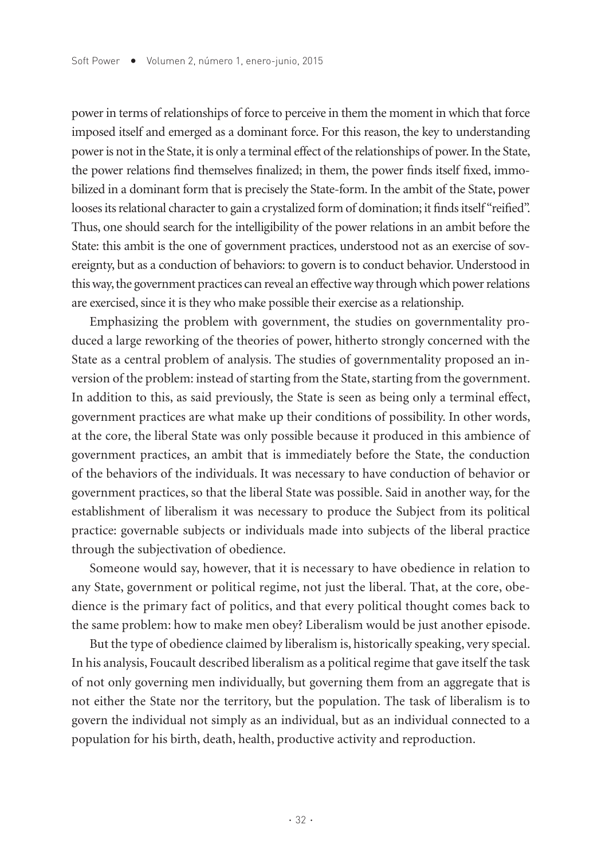power in terms of relationships of force to perceive in them the moment in which that force imposed itself and emerged as a dominant force. For this reason, the key to understanding power is not in the State, it is only a terminal effect of the relationships of power. In the State, the power relations find themselves finalized; in them, the power finds itself fixed, immobilized in a dominant form that is precisely the State-form. In the ambit of the State, power looses its relational character to gain a crystalized form of domination; it finds itself "reified". Thus, one should search for the intelligibility of the power relations in an ambit before the State: this ambit is the one of government practices, understood not as an exercise of sovereignty, but as a conduction of behaviors: to govern is to conduct behavior. Understood in this way, the government practices can reveal an effective way through which power relations are exercised, since it is they who make possible their exercise as a relationship.

Emphasizing the problem with government, the studies on governmentality produced a large reworking of the theories of power, hitherto strongly concerned with the State as a central problem of analysis. The studies of governmentality proposed an inversion of the problem: instead of starting from the State, starting from the government. In addition to this, as said previously, the State is seen as being only a terminal effect, government practices are what make up their conditions of possibility. In other words, at the core, the liberal State was only possible because it produced in this ambience of government practices, an ambit that is immediately before the State, the conduction of the behaviors of the individuals. It was necessary to have conduction of behavior or government practices, so that the liberal State was possible. Said in another way, for the establishment of liberalism it was necessary to produce the Subject from its political practice: governable subjects or individuals made into subjects of the liberal practice through the subjectivation of obedience.

Someone would say, however, that it is necessary to have obedience in relation to any State, government or political regime, not just the liberal. That, at the core, obedience is the primary fact of politics, and that every political thought comes back to the same problem: how to make men obey? Liberalism would be just another episode.

But the type of obedience claimed by liberalism is, historically speaking, very special. In his analysis, Foucault described liberalism as a political regime that gave itself the task of not only governing men individually, but governing them from an aggregate that is not either the State nor the territory, but the population. The task of liberalism is to govern the individual not simply as an individual, but as an individual connected to a population for his birth, death, health, productive activity and reproduction.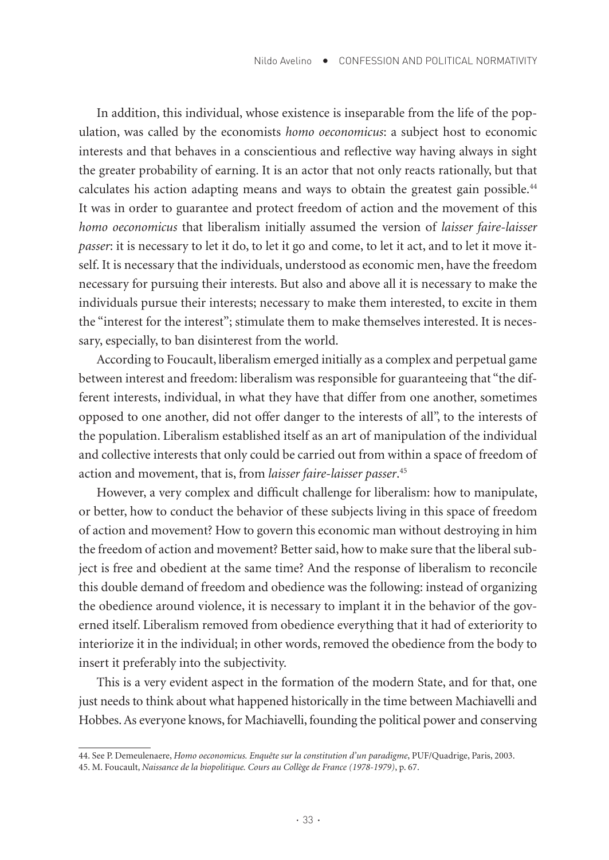In addition, this individual, whose existence is inseparable from the life of the population, was called by the economists *homo oeconomicus*: a subject host to economic interests and that behaves in a conscientious and reflective way having always in sight the greater probability of earning. It is an actor that not only reacts rationally, but that calculates his action adapting means and ways to obtain the greatest gain possible.44 It was in order to guarantee and protect freedom of action and the movement of this *homo oeconomicus* that liberalism initially assumed the version of *laisser faire-laisser passer*: it is necessary to let it do, to let it go and come, to let it act, and to let it move itself. It is necessary that the individuals, understood as economic men, have the freedom necessary for pursuing their interests. But also and above all it is necessary to make the individuals pursue their interests; necessary to make them interested, to excite in them the "interest for the interest"; stimulate them to make themselves interested. It is necessary, especially, to ban disinterest from the world.

According to Foucault, liberalism emerged initially as a complex and perpetual game between interest and freedom: liberalism was responsible for guaranteeing that "the different interests, individual, in what they have that differ from one another, sometimes opposed to one another, did not offer danger to the interests of all", to the interests of the population. Liberalism established itself as an art of manipulation of the individual and collective interests that only could be carried out from within a space of freedom of action and movement, that is, from *laisser faire-laisser passer*. 45

However, a very complex and difficult challenge for liberalism: how to manipulate, or better, how to conduct the behavior of these subjects living in this space of freedom of action and movement? How to govern this economic man without destroying in him the freedom of action and movement? Better said, how to make sure that the liberal subject is free and obedient at the same time? And the response of liberalism to reconcile this double demand of freedom and obedience was the following: instead of organizing the obedience around violence, it is necessary to implant it in the behavior of the governed itself. Liberalism removed from obedience everything that it had of exteriority to interiorize it in the individual; in other words, removed the obedience from the body to insert it preferably into the subjectivity.

This is a very evident aspect in the formation of the modern State, and for that, one just needs to think about what happened historically in the time between Machiavelli and Hobbes. As everyone knows, for Machiavelli, founding the political power and conserving

<sup>44.</sup> See P. Demeulenaere, *Homo oeconomicus. Enquête sur la constitution d'un paradigme*, PUF/Quadrige, Paris, 2003.

<sup>45.</sup> M. Foucault, *Naissance de la biopolitique. Cours au Collège de France (1978-1979)*, p. 67.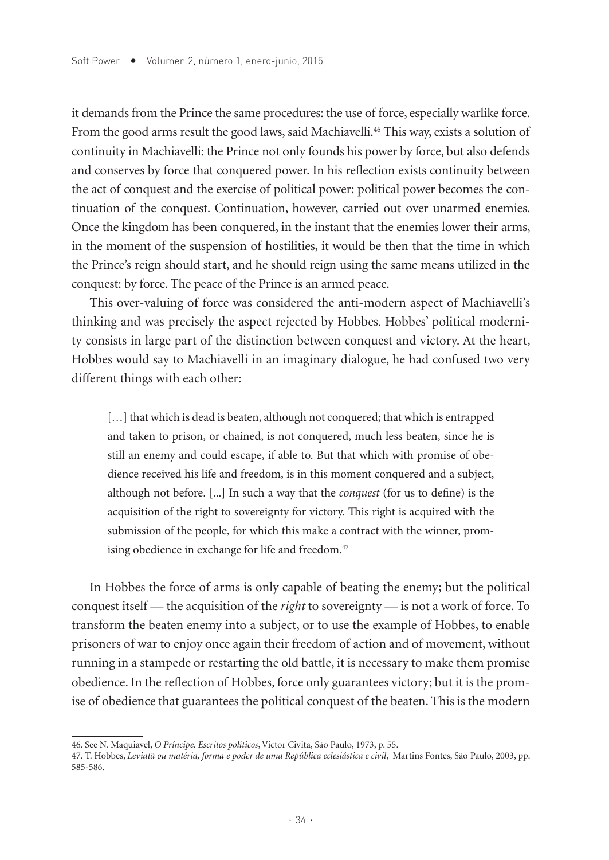it demands from the Prince the same procedures: the use of force, especially warlike force. From the good arms result the good laws, said Machiavelli.<sup>46</sup> This way, exists a solution of continuity in Machiavelli: the Prince not only founds his power by force, but also defends and conserves by force that conquered power. In his reflection exists continuity between the act of conquest and the exercise of political power: political power becomes the continuation of the conquest. Continuation, however, carried out over unarmed enemies. Once the kingdom has been conquered, in the instant that the enemies lower their arms, in the moment of the suspension of hostilities, it would be then that the time in which the Prince's reign should start, and he should reign using the same means utilized in the conquest: by force. The peace of the Prince is an armed peace.

This over-valuing of force was considered the anti-modern aspect of Machiavelli's thinking and was precisely the aspect rejected by Hobbes. Hobbes' political modernity consists in large part of the distinction between conquest and victory. At the heart, Hobbes would say to Machiavelli in an imaginary dialogue, he had confused two very different things with each other:

[...] that which is dead is beaten, although not conquered; that which is entrapped and taken to prison, or chained, is not conquered, much less beaten, since he is still an enemy and could escape, if able to. But that which with promise of obedience received his life and freedom, is in this moment conquered and a subject, although not before. [...] In such a way that the *conquest* (for us to define) is the acquisition of the right to sovereignty for victory. This right is acquired with the submission of the people, for which this make a contract with the winner, promising obedience in exchange for life and freedom.<sup>47</sup>

In Hobbes the force of arms is only capable of beating the enemy; but the political conquest itself — the acquisition of the *right* to sovereignty — is not a work of force. To transform the beaten enemy into a subject, or to use the example of Hobbes, to enable prisoners of war to enjoy once again their freedom of action and of movement, without running in a stampede or restarting the old battle, it is necessary to make them promise obedience. In the reflection of Hobbes, force only guarantees victory; but it is the promise of obedience that guarantees the political conquest of the beaten. This is the modern

<sup>46.</sup> See N. Maquiavel, *O Príncipe. Escritos políticos*, Victor Civita, São Paulo, 1973, p. 55.

<sup>47.</sup> T. Hobbes, *Leviatã ou matéria, forma e poder de uma República eclesiástica e civil*, Martins Fontes, São Paulo, 2003, pp. 585-586.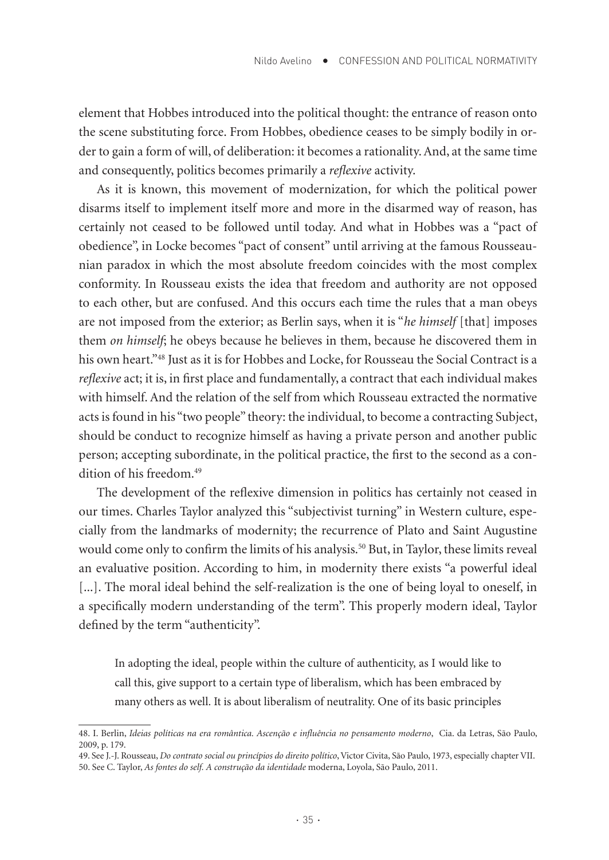element that Hobbes introduced into the political thought: the entrance of reason onto the scene substituting force. From Hobbes, obedience ceases to be simply bodily in order to gain a form of will, of deliberation: it becomes a rationality. And, at the same time and consequently, politics becomes primarily a *reflexive* activity.

As it is known, this movement of modernization, for which the political power disarms itself to implement itself more and more in the disarmed way of reason, has certainly not ceased to be followed until today. And what in Hobbes was a "pact of obedience", in Locke becomes "pact of consent" until arriving at the famous Rousseaunian paradox in which the most absolute freedom coincides with the most complex conformity. In Rousseau exists the idea that freedom and authority are not opposed to each other, but are confused. And this occurs each time the rules that a man obeys are not imposed from the exterior; as Berlin says, when it is "*he himself* [that] imposes them *on himself*; he obeys because he believes in them, because he discovered them in his own heart."48 Just as it is for Hobbes and Locke, for Rousseau the Social Contract is a *reflexive* act; it is, in first place and fundamentally, a contract that each individual makes with himself. And the relation of the self from which Rousseau extracted the normative acts is found in his "two people" theory: the individual, to become a contracting Subject, should be conduct to recognize himself as having a private person and another public person; accepting subordinate, in the political practice, the first to the second as a condition of his freedom.<sup>49</sup>

The development of the reflexive dimension in politics has certainly not ceased in our times. Charles Taylor analyzed this "subjectivist turning" in Western culture, especially from the landmarks of modernity; the recurrence of Plato and Saint Augustine would come only to confirm the limits of his analysis.<sup>50</sup> But, in Taylor, these limits reveal an evaluative position. According to him, in modernity there exists "a powerful ideal [...]. The moral ideal behind the self-realization is the one of being loyal to oneself, in a specifically modern understanding of the term". This properly modern ideal, Taylor defined by the term "authenticity".

In adopting the ideal, people within the culture of authenticity, as I would like to call this, give support to a certain type of liberalism, which has been embraced by many others as well. It is about liberalism of neutrality. One of its basic principles

<sup>48.</sup> I. Berlin, *Ideias políticas na era romântica. Ascenção e influência no pensamento moderno*, Cia. da Letras, São Paulo, 2009, p. 179.

<sup>49.</sup> See J.-J. Rousseau, *Do contrato social ou princípios do direito político*, Victor Civita, São Paulo, 1973, especially chapter VII. 50. See C. Taylor, *As fontes do self. A construção da identidade* moderna, Loyola, São Paulo, 2011.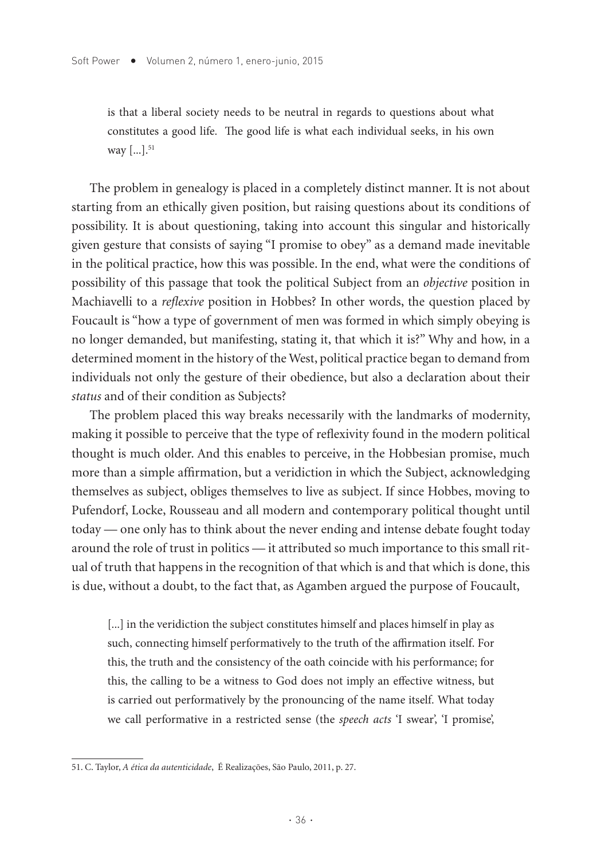is that a liberal society needs to be neutral in regards to questions about what constitutes a good life. The good life is what each individual seeks, in his own way [...].<sup>51</sup>

The problem in genealogy is placed in a completely distinct manner. It is not about starting from an ethically given position, but raising questions about its conditions of possibility. It is about questioning, taking into account this singular and historically given gesture that consists of saying "I promise to obey" as a demand made inevitable in the political practice, how this was possible. In the end, what were the conditions of possibility of this passage that took the political Subject from an *objective* position in Machiavelli to a *reflexive* position in Hobbes? In other words, the question placed by Foucault is "how a type of government of men was formed in which simply obeying is no longer demanded, but manifesting, stating it, that which it is?" Why and how, in a determined moment in the history of the West, political practice began to demand from individuals not only the gesture of their obedience, but also a declaration about their *status* and of their condition as Subjects?

The problem placed this way breaks necessarily with the landmarks of modernity, making it possible to perceive that the type of reflexivity found in the modern political thought is much older. And this enables to perceive, in the Hobbesian promise, much more than a simple affirmation, but a veridiction in which the Subject, acknowledging themselves as subject, obliges themselves to live as subject. If since Hobbes, moving to Pufendorf, Locke, Rousseau and all modern and contemporary political thought until today — one only has to think about the never ending and intense debate fought today around the role of trust in politics — it attributed so much importance to this small ritual of truth that happens in the recognition of that which is and that which is done, this is due, without a doubt, to the fact that, as Agamben argued the purpose of Foucault,

[...] in the veridiction the subject constitutes himself and places himself in play as such, connecting himself performatively to the truth of the affirmation itself. For this, the truth and the consistency of the oath coincide with his performance; for this, the calling to be a witness to God does not imply an effective witness, but is carried out performatively by the pronouncing of the name itself. What today we call performative in a restricted sense (the *speech acts* 'I swear', 'I promise',

<sup>51.</sup> C. Taylor, *A ética da autenticidade*, É Realizações, São Paulo, 2011, p. 27.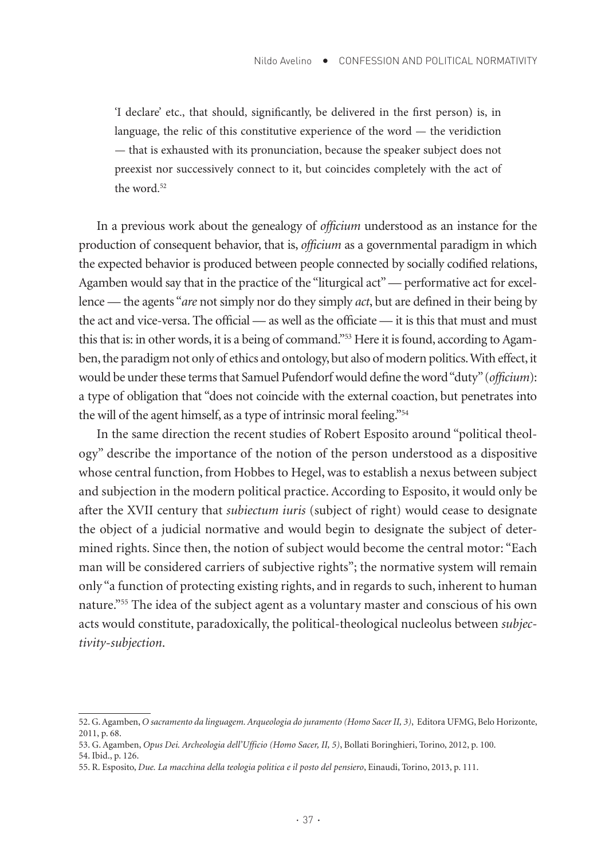'I declare' etc., that should, significantly, be delivered in the first person) is, in language, the relic of this constitutive experience of the word — the veridiction — that is exhausted with its pronunciation, because the speaker subject does not preexist nor successively connect to it, but coincides completely with the act of the word.<sup>52</sup>

In a previous work about the genealogy of *officium* understood as an instance for the production of consequent behavior, that is, *officium* as a governmental paradigm in which the expected behavior is produced between people connected by socially codified relations, Agamben would say that in the practice of the "liturgical act" — performative act for excellence — the agents "*are* not simply nor do they simply *act*, but are defined in their being by the act and vice-versa. The official — as well as the officiate — it is this that must and must this that is: in other words, it is a being of command."<sup>53</sup> Here it is found, according to Agamben, the paradigm not only of ethics and ontology, but also of modern politics. With effect, it would be under these terms that Samuel Pufendorf would define the word "duty" (*officium*): a type of obligation that "does not coincide with the external coaction, but penetrates into the will of the agent himself, as a type of intrinsic moral feeling."54

In the same direction the recent studies of Robert Esposito around "political theology" describe the importance of the notion of the person understood as a dispositive whose central function, from Hobbes to Hegel, was to establish a nexus between subject and subjection in the modern political practice. According to Esposito, it would only be after the XVII century that *subiectum iuris* (subject of right) would cease to designate the object of a judicial normative and would begin to designate the subject of determined rights. Since then, the notion of subject would become the central motor: "Each man will be considered carriers of subjective rights"; the normative system will remain only "a function of protecting existing rights, and in regards to such, inherent to human nature."55 The idea of the subject agent as a voluntary master and conscious of his own acts would constitute, paradoxically, the political-theological nucleolus between *subjectivity-subjection*.

<sup>52.</sup> G. Agamben, *O sacramento da linguagem. Arqueologia do juramento (Homo Sacer II, 3)*, Editora UFMG, Belo Horizonte, 2011, p. 68.

<sup>53.</sup> G. Agamben, *Opus Dei. Archeologia dell'Ufficio (Homo Sacer, II, 5)*, Bollati Boringhieri, Torino, 2012, p. 100. 54. Ibid., p. 126.

<sup>55.</sup> R. Esposito, *Due. La macchina della teologia politica e il posto del pensiero*, Einaudi, Torino, 2013, p. 111.